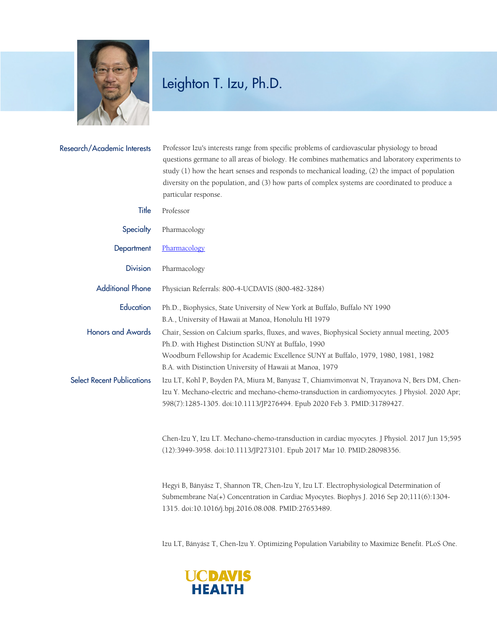

## Leighton T. Izu, Ph.D.

| Research/Academic Interests       | Professor Izu's interests range from specific problems of cardiovascular physiology to broad                                                                                                                                                                                                                                  |
|-----------------------------------|-------------------------------------------------------------------------------------------------------------------------------------------------------------------------------------------------------------------------------------------------------------------------------------------------------------------------------|
|                                   | questions germane to all areas of biology. He combines mathematics and laboratory experiments to<br>study (1) how the heart senses and responds to mechanical loading, (2) the impact of population<br>diversity on the population, and (3) how parts of complex systems are coordinated to produce a<br>particular response. |
| Title                             | Professor                                                                                                                                                                                                                                                                                                                     |
| Specialty                         | Pharmacology                                                                                                                                                                                                                                                                                                                  |
| Department                        | Pharmacology                                                                                                                                                                                                                                                                                                                  |
| <b>Division</b>                   | Pharmacology                                                                                                                                                                                                                                                                                                                  |
| <b>Additional Phone</b>           | Physician Referrals: 800-4-UCDAVIS (800-482-3284)                                                                                                                                                                                                                                                                             |
| Education                         | Ph.D., Biophysics, State University of New York at Buffalo, Buffalo NY 1990<br>B.A., University of Hawaii at Manoa, Honolulu HI 1979                                                                                                                                                                                          |
| <b>Honors and Awards</b>          | Chair, Session on Calcium sparks, fluxes, and waves, Biophysical Society annual meeting, 2005<br>Ph.D. with Highest Distinction SUNY at Buffalo, 1990<br>Woodburn Fellowship for Academic Excellence SUNY at Buffalo, 1979, 1980, 1981, 1982<br>B.A. with Distinction University of Hawaii at Manoa, 1979                     |
| <b>Select Recent Publications</b> | Izu LT, Kohl P, Boyden PA, Miura M, Banyasz T, Chiamvimonvat N, Trayanova N, Bers DM, Chen-<br>Izu Y. Mechano-electric and mechano-chemo-transduction in cardiomyocytes. J Physiol. 2020 Apr;<br>598(7):1285-1305. doi:10.1113/JP276494. Epub 2020 Feb 3. PMID:31789427.                                                      |
|                                   | Chen-Izu Y, Izu LT. Mechano-chemo-transduction in cardiac myocytes. J Physiol. 2017 Jun 15;595<br>(12):3949-3958. doi:10.1113/JP273101. Epub 2017 Mar 10. PMID:28098356.                                                                                                                                                      |
|                                   | Hegyi B, Bányász T, Shannon TR, Chen-Izu Y, Izu LT. Electrophysiological Determination of<br>Submembrane Na(+) Concentration in Cardiac Myocytes. Biophys J. 2016 Sep 20;111(6):1304-                                                                                                                                         |

Izu LT, Bányász T, Chen-Izu Y. Optimizing Population Variability to Maximize Benefit. PLoS One.



1315. doi:10.1016/j.bpj.2016.08.008. PMID:27653489.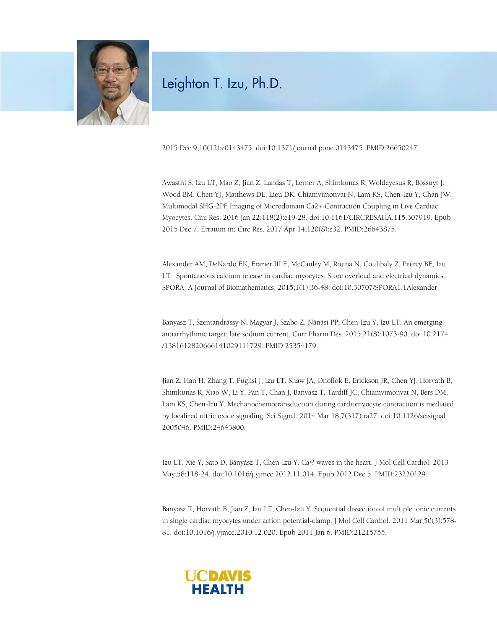

## Leighton T. Izu, Ph.D.

2015 Dec 9;10(12):e0143475. doi:10.1371/journal.pone.0143475. PMID:26650247.

Awasthi S, Izu LT, Mao Z, Jian Z, Landas T, Lerner A, Shimkunas R, Woldeyesus R, Bossuyt J, Wood BM, Chen YJ, Matthews DL, Lieu DK, Chiamvimonvat N, Lam KS, Chen-Izu Y, Chan JW. Multimodal SHG-2PF Imaging of Microdomain Ca2+-Contraction Coupling in Live Cardiac Myocytes. Circ Res. 2016 Jan 22;118(2):e19-28. doi:10.1161/CIRCRESAHA.115.307919. Epub 2015 Dec 7. Erratum in: Circ Res. 2017 Apr 14;120(8):e32. PMID:26643875.

Alexander AM, DeNardo EK, Frazier III E, McCauley M, Rojina N, Coulibaly Z, Peercy BE, Izu LT. Spontaneous calcium release in cardiac myocytes: Store overload and electrical dynamics. SPORA: A Journal of Biomathematics. 2015;1(1):36-48. doi:10.30707/SPORA1.1Alexander.

Banyasz T, Szentandrássy N, Magyar J, Szabo Z, Nánási PP, Chen-Izu Y, Izu LT. An emerging antiarrhythmic target: late sodium current. Curr Pharm Des. 2015;21(8):1073-90. doi:10.2174 /1381612820666141029111729. PMID:25354179.

Jian Z, Han H, Zhang T, Puglisi J, Izu LT, Shaw JA, Onofiok E, Erickson JR, Chen YJ, Horvath B, Shimkunas R, Xiao W, Li Y, Pan T, Chan J, Banyasz T, Tardiff JC, Chiamvimonvat N, Bers DM, Lam KS, Chen-Izu Y. Mechanochemotransduction during cardiomyocyte contraction is mediated by localized nitric oxide signaling. Sci Signal. 2014 Mar 18;7(317):ra27. doi:10.1126/scisignal. 2005046. PMID:24643800.

Izu LT, Xie Y, Sato D, Bányász T, Chen-Izu Y. Ca²? waves in the heart. J Mol Cell Cardiol. 2013 May;58:118-24. doi:10.1016/j.yjmcc.2012.11.014. Epub 2012 Dec 5. PMID:23220129.

Banyasz T, Horvath B, Jian Z, Izu LT, Chen-Izu Y. Sequential dissection of multiple ionic currents in single cardiac myocytes under action potential-clamp. J Mol Cell Cardiol. 2011 Mar;50(3):578- 81. doi:10.1016/j.yjmcc.2010.12.020. Epub 2011 Jan 6. PMID:21215755.